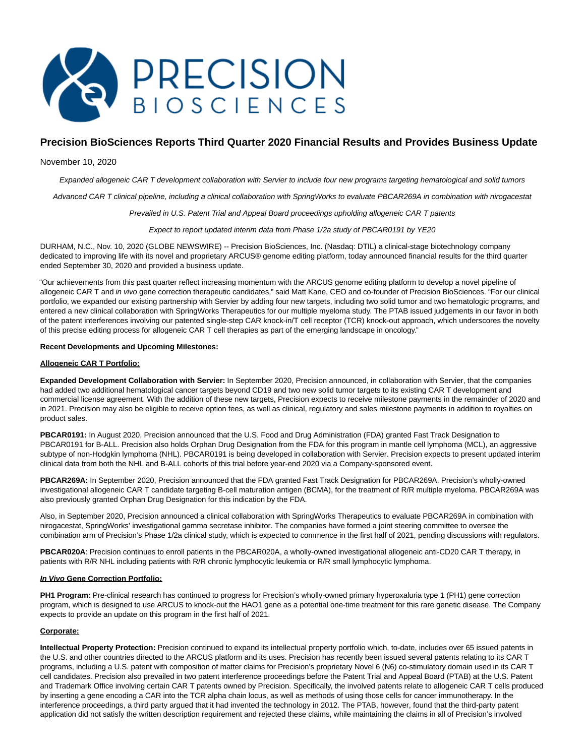

# **Precision BioSciences Reports Third Quarter 2020 Financial Results and Provides Business Update**

# November 10, 2020

Expanded allogeneic CAR T development collaboration with Servier to include four new programs targeting hematological and solid tumors

Advanced CAR T clinical pipeline, including a clinical collaboration with SpringWorks to evaluate PBCAR269A in combination with nirogacestat

Prevailed in U.S. Patent Trial and Appeal Board proceedings upholding allogeneic CAR T patents

Expect to report updated interim data from Phase 1/2a study of PBCAR0191 by YE20

DURHAM, N.C., Nov. 10, 2020 (GLOBE NEWSWIRE) -- Precision BioSciences, Inc. (Nasdaq: DTIL) a clinical-stage biotechnology company dedicated to improving life with its novel and proprietary ARCUS® genome editing platform, today announced financial results for the third quarter ended September 30, 2020 and provided a business update.

"Our achievements from this past quarter reflect increasing momentum with the ARCUS genome editing platform to develop a novel pipeline of allogeneic CAR T and in vivo gene correction therapeutic candidates," said Matt Kane, CEO and co-founder of Precision BioSciences. "For our clinical portfolio, we expanded our existing partnership with Servier by adding four new targets, including two solid tumor and two hematologic programs, and entered a new clinical collaboration with SpringWorks Therapeutics for our multiple myeloma study. The PTAB issued judgements in our favor in both of the patent interferences involving our patented single-step CAR knock-in/T cell receptor (TCR) knock-out approach, which underscores the novelty of this precise editing process for allogeneic CAR T cell therapies as part of the emerging landscape in oncology."

# **Recent Developments and Upcoming Milestones:**

# **Allogeneic CAR T Portfolio:**

**Expanded Development Collaboration with Servier:** In September 2020, Precision announced, in collaboration with Servier, that the companies had added two additional hematological cancer targets beyond CD19 and two new solid tumor targets to its existing CAR T development and commercial license agreement. With the addition of these new targets, Precision expects to receive milestone payments in the remainder of 2020 and in 2021. Precision may also be eligible to receive option fees, as well as clinical, regulatory and sales milestone payments in addition to royalties on product sales.

**PBCAR0191:** In August 2020, Precision announced that the U.S. Food and Drug Administration (FDA) granted Fast Track Designation to PBCAR0191 for B-ALL. Precision also holds Orphan Drug Designation from the FDA for this program in mantle cell lymphoma (MCL), an aggressive subtype of non-Hodgkin lymphoma (NHL). PBCAR0191 is being developed in collaboration with Servier. Precision expects to present updated interim clinical data from both the NHL and B-ALL cohorts of this trial before year-end 2020 via a Company-sponsored event.

**PBCAR269A:** In September 2020, Precision announced that the FDA granted Fast Track Designation for PBCAR269A, Precision's wholly-owned investigational allogeneic CAR T candidate targeting B-cell maturation antigen (BCMA), for the treatment of R/R multiple myeloma. PBCAR269A was also previously granted Orphan Drug Designation for this indication by the FDA.

Also, in September 2020, Precision announced a clinical collaboration with SpringWorks Therapeutics to evaluate PBCAR269A in combination with nirogacestat, SpringWorks' investigational gamma secretase inhibitor. The companies have formed a joint steering committee to oversee the combination arm of Precision's Phase 1/2a clinical study, which is expected to commence in the first half of 2021, pending discussions with regulators.

**PBCAR020A**: Precision continues to enroll patients in the PBCAR020A, a wholly-owned investigational allogeneic anti-CD20 CAR T therapy, in patients with R/R NHL including patients with R/R chronic lymphocytic leukemia or R/R small lymphocytic lymphoma.

### **In Vivo Gene Correction Portfolio:**

**PH1 Program:** Pre-clinical research has continued to progress for Precision's wholly-owned primary hyperoxaluria type 1 (PH1) gene correction program, which is designed to use ARCUS to knock-out the HAO1 gene as a potential one-time treatment for this rare genetic disease. The Company expects to provide an update on this program in the first half of 2021.

### **Corporate:**

**Intellectual Property Protection:** Precision continued to expand its intellectual property portfolio which, to-date, includes over 65 issued patents in the U.S. and other countries directed to the ARCUS platform and its uses. Precision has recently been issued several patents relating to its CAR T programs, including a U.S. patent with composition of matter claims for Precision's proprietary Novel 6 (N6) co-stimulatory domain used in its CAR T cell candidates. Precision also prevailed in two patent interference proceedings before the Patent Trial and Appeal Board (PTAB) at the U.S. Patent and Trademark Office involving certain CAR T patents owned by Precision. Specifically, the involved patents relate to allogeneic CAR T cells produced by inserting a gene encoding a CAR into the TCR alpha chain locus, as well as methods of using those cells for cancer immunotherapy. In the interference proceedings, a third party argued that it had invented the technology in 2012. The PTAB, however, found that the third-party patent application did not satisfy the written description requirement and rejected these claims, while maintaining the claims in all of Precision's involved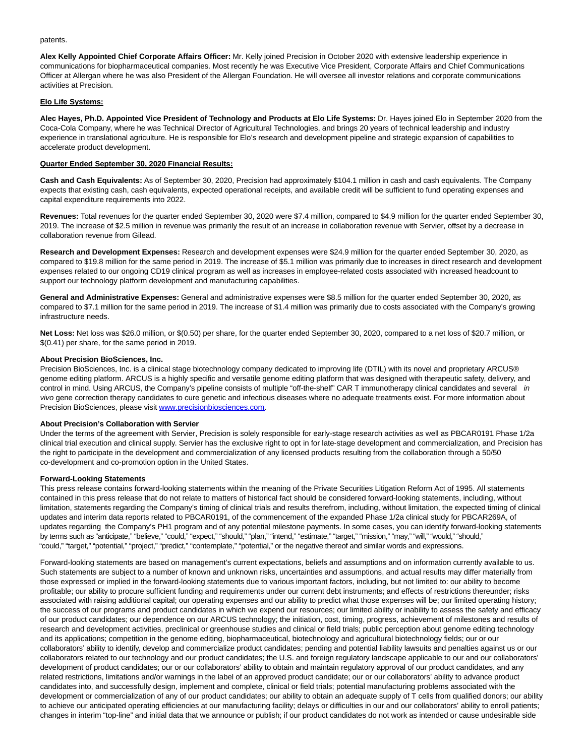#### patents.

**Alex Kelly Appointed Chief Corporate Affairs Officer:** Mr. Kelly joined Precision in October 2020 with extensive leadership experience in communications for biopharmaceutical companies. Most recently he was Executive Vice President, Corporate Affairs and Chief Communications Officer at Allergan where he was also President of the Allergan Foundation. He will oversee all investor relations and corporate communications activities at Precision.

### **Elo Life Systems:**

**Alec Hayes, Ph.D. Appointed Vice President of Technology and Products at Elo Life Systems:** Dr. Hayes joined Elo in September 2020 from the Coca-Cola Company, where he was Technical Director of Agricultural Technologies, and brings 20 years of technical leadership and industry experience in translational agriculture. He is responsible for Elo's research and development pipeline and strategic expansion of capabilities to accelerate product development.

### **Quarter Ended September 30, 2020 Financial Results:**

**Cash and Cash Equivalents:** As of September 30, 2020, Precision had approximately \$104.1 million in cash and cash equivalents. The Company expects that existing cash, cash equivalents, expected operational receipts, and available credit will be sufficient to fund operating expenses and capital expenditure requirements into 2022.

**Revenues:** Total revenues for the quarter ended September 30, 2020 were \$7.4 million, compared to \$4.9 million for the quarter ended September 30, 2019. The increase of \$2.5 million in revenue was primarily the result of an increase in collaboration revenue with Servier, offset by a decrease in collaboration revenue from Gilead.

**Research and Development Expenses:** Research and development expenses were \$24.9 million for the quarter ended September 30, 2020, as compared to \$19.8 million for the same period in 2019. The increase of \$5.1 million was primarily due to increases in direct research and development expenses related to our ongoing CD19 clinical program as well as increases in employee-related costs associated with increased headcount to support our technology platform development and manufacturing capabilities.

**General and Administrative Expenses:** General and administrative expenses were \$8.5 million for the quarter ended September 30, 2020, as compared to \$7.1 million for the same period in 2019. The increase of \$1.4 million was primarily due to costs associated with the Company's growing infrastructure needs.

**Net Loss:** Net loss was \$26.0 million, or \$(0.50) per share, for the quarter ended September 30, 2020, compared to a net loss of \$20.7 million, or \$(0.41) per share, for the same period in 2019.

#### **About Precision BioSciences, Inc.**

Precision BioSciences, Inc. is a clinical stage biotechnology company dedicated to improving life (DTIL) with its novel and proprietary ARCUS® genome editing platform. ARCUS is a highly specific and versatile genome editing platform that was designed with therapeutic safety, delivery, and control in mind. Using ARCUS, the Company's pipeline consists of multiple "off-the-shelf" CAR T immunotherapy clinical candidates and several in vivo gene correction therapy candidates to cure genetic and infectious diseases where no adequate treatments exist. For more information about Precision BioSciences, please visi[t www.precisionbiosciences.com.](https://www.globenewswire.com/Tracker?data=EEJ7RsWCMx64oH5u2hzTfovgG4XcRvevpccAoxRYg3O7M5Xzh6U2S-U13WG77DwReLhhcpTEixMwzySHgynGXRhHQ19-siRHQqLH_MYBoT44St8kwgH2lPmtmm2e2QbZ)

### **About Precision's Collaboration with Servier**

Under the terms of the agreement with Servier, Precision is solely responsible for early-stage research activities as well as PBCAR0191 Phase 1/2a clinical trial execution and clinical supply. Servier has the exclusive right to opt in for late-stage development and commercialization, and Precision has the right to participate in the development and commercialization of any licensed products resulting from the collaboration through a 50/50 co-development and co-promotion option in the United States.

#### **Forward-Looking Statements**

This press release contains forward-looking statements within the meaning of the Private Securities Litigation Reform Act of 1995. All statements contained in this press release that do not relate to matters of historical fact should be considered forward-looking statements, including, without limitation, statements regarding the Company's timing of clinical trials and results therefrom, including, without limitation, the expected timing of clinical updates and interim data reports related to PBCAR0191, of the commencement of the expanded Phase 1/2a clinical study for PBCAR269A, of updates regarding the Company's PH1 program and of any potential milestone payments. In some cases, you can identify forward-looking statements by terms such as "anticipate," "believe," "could," "expect," "should," "plan," "intend," "estimate," "target," "mission," "may," "will," "would," "should," "could," "target," "potential," "project," "predict," "contemplate," "potential," or the negative thereof and similar words and expressions.

Forward-looking statements are based on management's current expectations, beliefs and assumptions and on information currently available to us. Such statements are subject to a number of known and unknown risks, uncertainties and assumptions, and actual results may differ materially from those expressed or implied in the forward-looking statements due to various important factors, including, but not limited to: our ability to become profitable; our ability to procure sufficient funding and requirements under our current debt instruments; and effects of restrictions thereunder; risks associated with raising additional capital; our operating expenses and our ability to predict what those expenses will be; our limited operating history; the success of our programs and product candidates in which we expend our resources; our limited ability or inability to assess the safety and efficacy of our product candidates; our dependence on our ARCUS technology; the initiation, cost, timing, progress, achievement of milestones and results of research and development activities, preclinical or greenhouse studies and clinical or field trials; public perception about genome editing technology and its applications; competition in the genome editing, biopharmaceutical, biotechnology and agricultural biotechnology fields; our or our collaborators' ability to identify, develop and commercialize product candidates; pending and potential liability lawsuits and penalties against us or our collaborators related to our technology and our product candidates; the U.S. and foreign regulatory landscape applicable to our and our collaborators' development of product candidates; our or our collaborators' ability to obtain and maintain regulatory approval of our product candidates, and any related restrictions, limitations and/or warnings in the label of an approved product candidate; our or our collaborators' ability to advance product candidates into, and successfully design, implement and complete, clinical or field trials; potential manufacturing problems associated with the development or commercialization of any of our product candidates; our ability to obtain an adequate supply of T cells from qualified donors; our ability to achieve our anticipated operating efficiencies at our manufacturing facility; delays or difficulties in our and our collaborators' ability to enroll patients; changes in interim "top-line" and initial data that we announce or publish; if our product candidates do not work as intended or cause undesirable side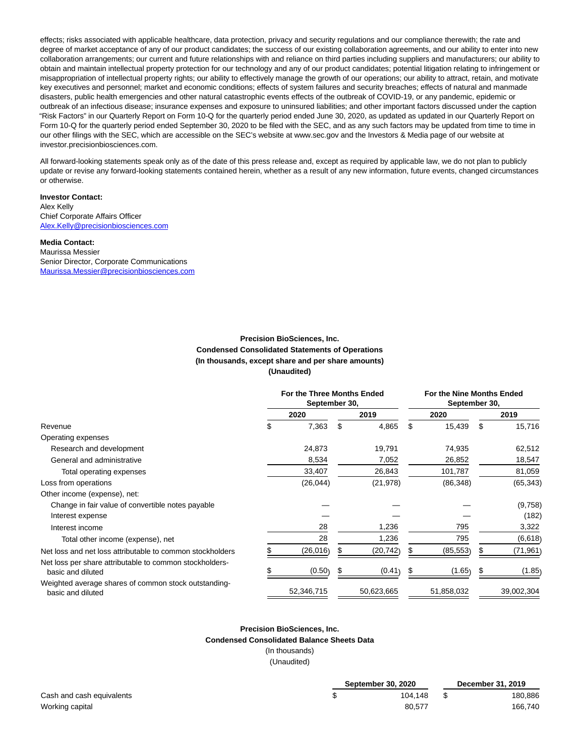effects; risks associated with applicable healthcare, data protection, privacy and security regulations and our compliance therewith; the rate and degree of market acceptance of any of our product candidates; the success of our existing collaboration agreements, and our ability to enter into new collaboration arrangements; our current and future relationships with and reliance on third parties including suppliers and manufacturers; our ability to obtain and maintain intellectual property protection for our technology and any of our product candidates; potential litigation relating to infringement or misappropriation of intellectual property rights; our ability to effectively manage the growth of our operations; our ability to attract, retain, and motivate key executives and personnel; market and economic conditions; effects of system failures and security breaches; effects of natural and manmade disasters, public health emergencies and other natural catastrophic events effects of the outbreak of COVID-19, or any pandemic, epidemic or outbreak of an infectious disease; insurance expenses and exposure to uninsured liabilities; and other important factors discussed under the caption "Risk Factors" in our Quarterly Report on Form 10-Q for the quarterly period ended June 30, 2020, as updated as updated in our Quarterly Report on Form 10-Q for the quarterly period ended September 30, 2020 to be filed with the SEC, and as any such factors may be updated from time to time in our other filings with the SEC, which are accessible on the SEC's website at www.sec.gov and the Investors & Media page of our website at investor.precisionbiosciences.com.

All forward-looking statements speak only as of the date of this press release and, except as required by applicable law, we do not plan to publicly update or revise any forward-looking statements contained herein, whether as a result of any new information, future events, changed circumstances or otherwise.

### **Investor Contact:**

Alex Kelly Chief Corporate Affairs Officer [Alex.Kelly@precisionbiosciences.com](https://www.globenewswire.com/Tracker?data=v9_qM50upEct6q0wXHBYloCOQQkC8eBmrY7I_bNRzNJ59LPorcxGmVhjm_sHaQCs9ZvF5cAvEPZJGyOw4GQY4IXLoXzdAtND1aDgpUztMZ7PQ2QFLcfVRM6zuDKXnaWTUinE5sso2Hgu7QaAjnMTAQ==)

### **Media Contact:**

Maurissa Messier Senior Director, Corporate Communications [Maurissa.Messier@precisionbiosciences.com](https://www.globenewswire.com/Tracker?data=FZ6H3Dq92oxjT55W93CEFIBiv69dVr236tJolnTYw85NTwJG1q7skxM0tkJ8SM53WqnJJFetnYUJdN1uJfSdOK-XQrW-7OTFbdBr4LIYqyuTPoVd5E05YROI9PtyzL3XdAiLH_Jyw1yqJ1xI9Q02PA==)

# **Precision BioSciences, Inc. Condensed Consolidated Statements of Operations (In thousands, except share and per share amounts) (Unaudited)**

|                                                                              | For the Three Months Ended<br>September 30, |            |    |            | For the Nine Months Ended<br>September 30, |            |    |            |
|------------------------------------------------------------------------------|---------------------------------------------|------------|----|------------|--------------------------------------------|------------|----|------------|
|                                                                              |                                             | 2020       |    | 2019       |                                            | 2020       |    | 2019       |
| Revenue                                                                      | \$                                          | 7,363      | \$ | 4,865      | S                                          | 15,439     | \$ | 15,716     |
| Operating expenses                                                           |                                             |            |    |            |                                            |            |    |            |
| Research and development                                                     |                                             | 24,873     |    | 19,791     |                                            | 74,935     |    | 62,512     |
| General and administrative                                                   |                                             | 8,534      |    | 7,052      |                                            | 26,852     |    | 18,547     |
| Total operating expenses                                                     |                                             | 33,407     |    | 26,843     |                                            | 101,787    |    | 81,059     |
| Loss from operations                                                         |                                             | (26, 044)  |    | (21, 978)  |                                            | (86, 348)  |    | (65, 343)  |
| Other income (expense), net:                                                 |                                             |            |    |            |                                            |            |    |            |
| Change in fair value of convertible notes payable                            |                                             |            |    |            |                                            |            |    | (9,758)    |
| Interest expense                                                             |                                             |            |    |            |                                            |            |    | (182)      |
| Interest income                                                              |                                             | 28         |    | 1,236      |                                            | 795        |    | 3,322      |
| Total other income (expense), net                                            |                                             | 28         |    | 1,236      |                                            | 795        |    | (6,618)    |
| Net loss and net loss attributable to common stockholders                    |                                             | (26,016)   |    | (20, 742)  |                                            | (85, 553)  |    | (71,961)   |
| Net loss per share attributable to common stockholders-<br>basic and diluted |                                             | (0.50)     |    | (0.41)     |                                            | (1.65)     |    | (1.85)     |
| Weighted average shares of common stock outstanding-<br>basic and diluted    |                                             | 52,346,715 |    | 50,623,665 |                                            | 51,858,032 |    | 39,002,304 |

# **Precision BioSciences, Inc.**

# **Condensed Consolidated Balance Sheets Data**

(In thousands)

(Unaudited)

|                           | <b>September 30, 2020</b> |         |  |         |
|---------------------------|---------------------------|---------|--|---------|
| Cash and cash equivalents |                           | 104.148 |  | 180,886 |
| Working capital           |                           | 80.577  |  | 166.740 |